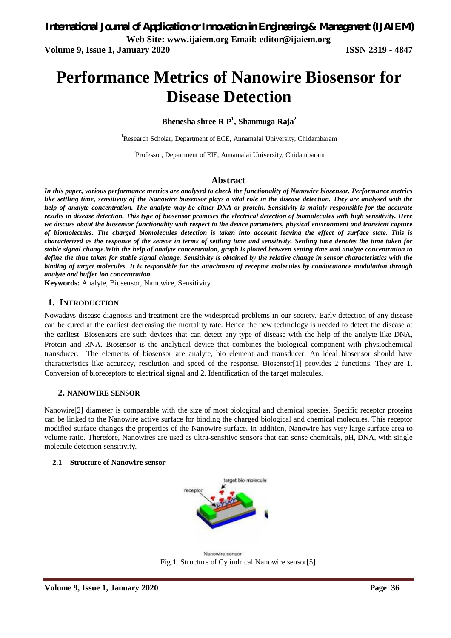**Performance Metrics of Nanowire Biosensor for** 

## **Bhenesha shree R P<sup>1</sup> , Shanmuga Raja 2**

**Disease Detection**

<sup>1</sup>Research Scholar, Department of ECE, Annamalai University, Chidambaram

<sup>2</sup>Professor, Department of EIE, Annamalai University, Chidambaram

#### **Abstract**

*In this paper, various performance metrics are analysed to check the functionality of Nanowire biosensor. Performance metrics like settling time, sensitivity of the Nanowire biosensor plays a vital role in the disease detection. They are analysed with the help of analyte concentration. The analyte may be either DNA or protein. Sensitivity is mainly responsible for the accurate results in disease detection. This type of biosensor promises the electrical detection of biomolecules with high sensitivity. Here we discuss about the biosensor functionality with respect to the device parameters, physical environment and transient capture of biomolecules. The charged biomolecules detection is taken into account leaving the effect of surface state. This is characterized as the response of the sensor in terms of settling time and sensitivity. Settling time denotes the time taken for stable signal change.With the help of analyte concentration, graph is plotted between setting time and analyte concentration to define the time taken for stable signal change. Sensitivity is obtained by the relative change in sensor characteristics with the binding of target molecules. It is responsible for the attachment of receptor molecules by conducatance modulation through analyte and buffer ion concentration.*

**Keywords:** Analyte, Biosensor, Nanowire, Sensitivity

#### **1. INTRODUCTION**

Nowadays disease diagnosis and treatment are the widespread problems in our society. Early detection of any disease can be cured at the earliest decreasing the mortality rate. Hence the new technology is needed to detect the disease at the earliest. Biosensors are such devices that can detect any type of disease with the help of the analyte like DNA, Protein and RNA. Biosensor is the analytical device that combines the biological component with physiochemical transducer. The elements of biosensor are analyte, bio element and transducer. An ideal biosensor should have characteristics like accuracy, resolution and speed of the response. Biosensor[1] provides 2 functions. They are 1. Conversion of bioreceptors to electrical signal and 2. Identification of the target molecules.

#### **2. NANOWIRE SENSOR**

Nanowire[2] diameter is comparable with the size of most biological and chemical species. Specific receptor proteins can be linked to the Nanowire active surface for binding the charged biological and chemical molecules. This receptor modified surface changes the properties of the Nanowire surface. In addition, Nanowire has very large surface area to volume ratio. Therefore, Nanowires are used as ultra-sensitive sensors that can sense chemicals, pH, DNA, with single molecule detection sensitivity.

#### **2.1****Structure of Nanowire sensor**



Nanowire sensor Fig.1. Structure of Cylindrical Nanowire sensor[5]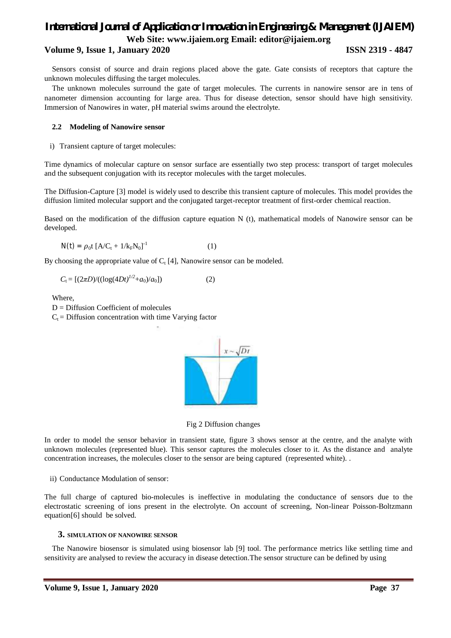#### **Volume 9, Issue 1, January 2020 ISSN 2319 - 4847**

Sensors consist of source and drain regions placed above the gate. Gate consists of receptors that capture the unknown molecules diffusing the target molecules.

The unknown molecules surround the gate of target molecules. The currents in nanowire sensor are in tens of nanometer dimension accounting for large area. Thus for disease detection, sensor should have high sensitivity. Immersion of Nanowires in water, pH material swims around the electrolyte.

## **2.2 Modeling of Nanowire sensor**

i) Transient capture of target molecules:

Time dynamics of molecular capture on sensor surface are essentially two step process: transport of target molecules and the subsequent conjugation with its receptor molecules with the target molecules.

The Diffusion-Capture [3] model is widely used to describe this transient capture of molecules. This model provides the diffusion limited molecular support and the conjugated target-receptor treatment of first-order chemical reaction.

Based on the modification of the diffusion capture equation N (t), mathematical models of Nanowire sensor can be developed.

$$
N(t) = \rho_0 t \left[ A/C_t + 1/k_F N_0 \right]^{-1}
$$
 (1)

By choosing the appropriate value of  $C_t$  [4], Nanowire sensor can be modeled.

$$
C_{t} = [(2\pi D) / ((\log(4Dt)^{1/2} + a_0)/a_0])
$$
\n(2)

Where,

D = Diffusion Coefficient of molecules

 $C_t$  = Diffusion concentration with time Varying factor



Fig 2 Diffusion changes

In order to model the sensor behavior in transient state, figure 3 shows sensor at the centre, and the analyte with unknown molecules (represented blue). This sensor captures the molecules closer to it. As the distance and analyte concentration increases, the molecules closer to the sensor are being captured (represented white). .

ii) Conductance Modulation of sensor:

The full charge of captured bio-molecules is ineffective in modulating the conductance of sensors due to the electrostatic screening of ions present in the electrolyte. On account of screening, Non-linear Poisson-Boltzmann equation[6] should be solved.

### **3. SIMULATION OF NANOWIRE SENSOR**

The Nanowire biosensor is simulated using biosensor lab [9] tool. The performance metrics like settling time and sensitivity are analysed to review the accuracy in disease detection.The sensor structure can be defined by using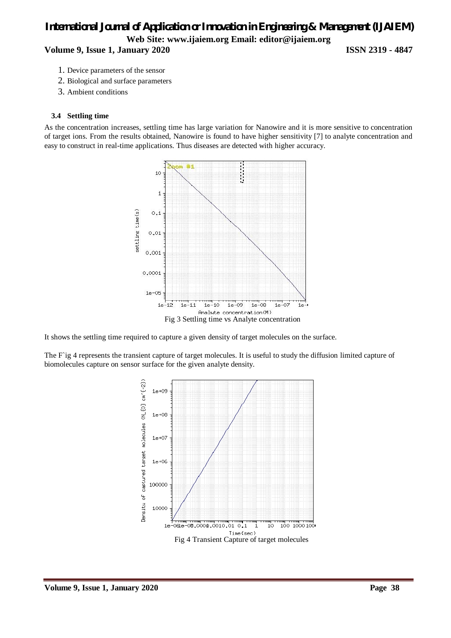# *International Journal of Application or Innovation in Engineering & Management (IJAIEM)* **Web Site: [www.ijaiem.org](http://www.ijaiem.org) Email: [editor@ijaiem.org](mailto:editor@ijaiem.org) Volume 9, Issue 1, January 2020 ISSN 2319 - 4847**

- 1. Device parameters of the sensor
- 2. Biological and surface parameters
- 3. Ambient conditions

#### **3.4 Settling time**

As the concentration increases, settling time has large variation for Nanowire and it is more sensitive to concentration of target ions. From the results obtained, Nanowire is found to have higher sensitivity [7] to analyte concentration and easy to construct in real-time applications. Thus diseases are detected with higher accuracy.



It shows the settling time required to capture a given density of target molecules on the surface.

The F ig 4 represents the transient capture of target molecules. It is useful to study the diffusion limited capture of biomolecules capture on sensor surface for the given analyte density.

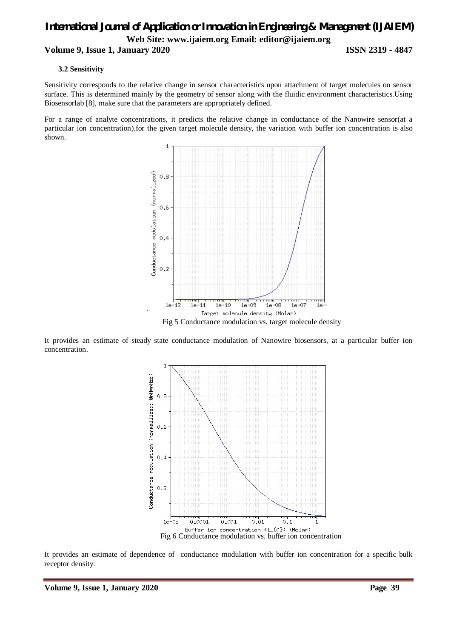### **Volume 9, Issue 1, January 2020 ISSN 2319 - 4847**

#### **3.2 Sensitivity**

Sensitivity corresponds to the relative change in sensor characteristics upon attachment of target molecules on sensor surface. This is determined mainly by the geometry of sensor along with the fluidic environment characteristics.Using Biosensorlab [8], make sure that the parameters are appropriately defined.

For a range of analyte concentrations, it predicts the relative change in conductance of the Nanowire sensor(at a particular ion concentration).for the given target molecule density, the variation with buffer ion concentration is also shown.



It provides an estimate of steady state conductance modulation of Nanowire biosensors, at a particular buffer ion concentration.



It provides an estimate of dependence of conductance modulation with buffer ion concentration for a specific bulk receptor density.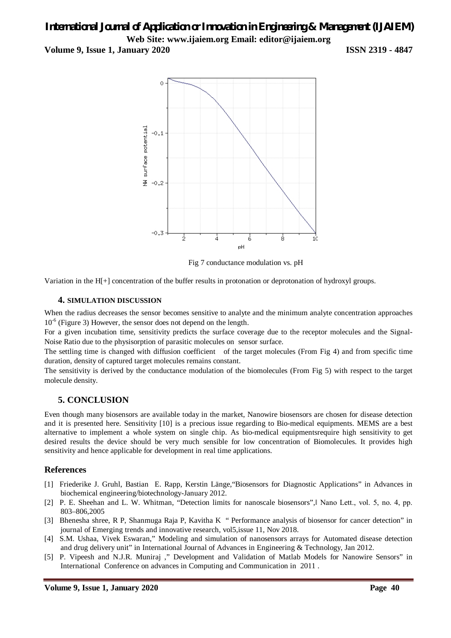**Volume 9, Issue 1, January 2020 ISSN 2319 - 4847**



Fig 7 conductance modulation vs. pH

Variation in the H[+] concentration of the buffer results in protonation or deprotonation of hydroxyl groups.

### **4. SIMULATION DISCUSSION**

When the radius decreases the sensor becomes sensitive to analyte and the minimum analyte concentration approaches 10<sup>-6</sup> (Figure 3) However, the sensor does not depend on the length.

For a given incubation time, sensitivity predicts the surface coverage due to the receptor molecules and the Signal-Noise Ratio due to the physisorption of parasitic molecules on sensor surface.

The settling time is changed with diffusion coefficient of the target molecules (From Fig 4) and from specific time duration, density of captured target molecules remains constant.

The sensitivity is derived by the conductance modulation of the biomolecules (From Fig 5) with respect to the target molecule density.

## **5. CONCLUSION**

Even though many biosensors are available today in the market, Nanowire biosensors are chosen for disease detection and it is presented here. Sensitivity [10] is a precious issue regarding to Bio-medical equipments. MEMS are a best alternative to implement a whole system on single chip. As bio-medical equipmentsrequire high sensitivity to get desired results the device should be very much sensible for low concentration of Biomolecules. It provides high sensitivity and hence applicable for development in real time applications.

## **References**

- [1] Friederike J. Gruhl, Bastian E. Rapp, Kerstin Länge,"Biosensors for Diagnostic Applications" in Advances in biochemical engineering/biotechnology-January 2012.
- [2] P. E. Sheehan and L. W. Whitman, "Detection limits for nanoscale biosensors", Nano Lett., vol. 5, no. 4, pp. 803–806,2005
- [3] Bhenesha shree, R P, Shanmuga Raja P, Kavitha K " Performance analysis of biosensor for cancer detection" in journal of Emerging trends and innovative research, vol5,issue 11, Nov 2018.
- [4] S.M. Ushaa, Vivek Eswaran," Modeling and simulation of nanosensors arrays for Automated disease detection and drug delivery unit" in International Journal of Advances in Engineering & Technology, Jan 2012.
- [5] P. Vipeesh and N.J.R. Muniraj ," Development and Validation of Matlab Models for Nanowire Sensors" in International Conference on advances in Computing and Communication in 2011 .